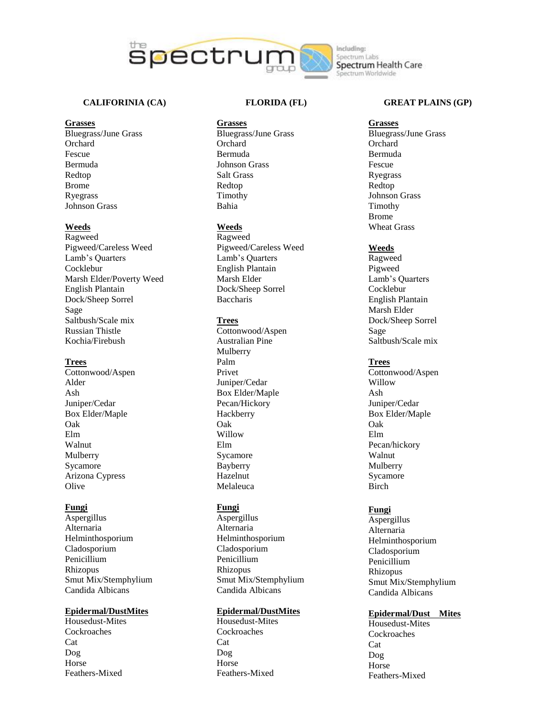

# **CALIFORINIA (CA)**

### **Grasses**

Bluegrass/June Grass Orchard Fescue Bermuda Redtop Brome Ryegrass Johnson Grass

# **Weeds**

Ragweed Pigweed/Careless Weed Lamb's Quarters Cocklebur Marsh Elder/Poverty Weed English Plantain Dock/Sheep Sorrel Sage Saltbush/Scale mix Russian Thistle Kochia/Firebush

### **Trees**

Cottonwood/Aspen Alder Ash Juniper/Cedar Box Elder/Maple Oak Elm Walnut Mulberry Sycamore Arizona Cypress Olive

### **Fungi**

Aspergillus Alternaria Helminthosporium Cladosporium Penicillium Rhizopus Smut Mix/Stemphylium Candida Albicans

# **Epidermal/DustMites**

Housedust -Mites Cockroaches Cat Dog Horse Feathers -Mixed

### **FLORIDA (FL)**

#### **Grasses**

Bluegrass/June Grass **Orchard** Bermuda Johnson Grass Salt Grass Redtop Timothy Bahia

# **Weeds**

Ragweed Pigweed/Careless Weed Lamb's Quarters English Plantain Marsh Elder Dock/Sheep Sorrel Baccharis

### **Trees**

Cottonwood/Aspen Australian Pine Mulberry Palm Privet Juniper/Cedar Box Elder/Maple Pecan/Hickory Hackberry Oak Willow Elm Sycamore Bayberry Hazelnut Melaleuca

### **Fungi**

Aspergillus Alternaria Helminthosporium Cladosporium Penicillium Rhizopus Smut Mix/Stemphylium Candida Albicans

# **Epidermal/DustMites**

Housedust -Mites Cockroaches Cat Dog Horse Feathers -Mixed

### **GREAT PLAINS (GP)**

# **Grasses**

Bluegrass/June Grass **Orchard** Bermuda Fescue Ryegrass Redtop Johnson Grass Timothy Brome Wheat Grass

### **Weeds**

Ragweed Pigweed Lamb's Quarters Cocklebur English Plantain Marsh Elder Dock/Sheep Sorrel Sage Saltbush/Scale mix

## **Trees**

Cottonwood/Aspen Willow Ash Juniper/Cedar Box Elder/Maple Oak Elm Pecan/hickory Walnut Mulberry Sycamore Birch

# **Fungi**

Aspergillus Alternaria Helminthosporium Cladosporium Penicillium Rhizopus Smut Mix/Stemphylium Candida Albicans

### **Epidermal/Dust Mites**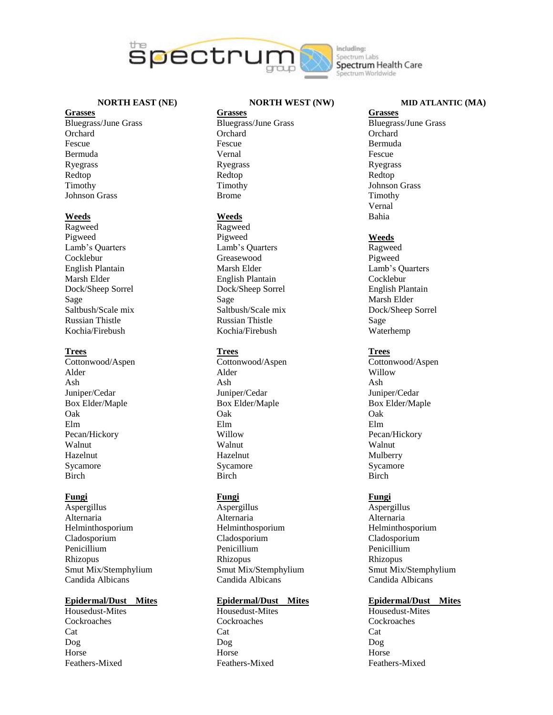

**NORTH EAST (NE)**

# **Grasses**

Bluegrass/June Grass **Orchard** Fescue Bermuda Ryegrass Redtop Timothy Johnson Grass

#### **Weeds**

Ragweed Pigweed Lamb's Quarters Cocklebur English Plantain Marsh Elder Dock/Sheep Sorrel Sage Saltbush/Scale mix Russian Thistle Kochia/Firebush

### **Trees**

Cottonwood/Aspen Alder Ash Juniper/Cedar Box Elder/Maple Oak Elm Pecan/Hickory Walnut Hazelnut Sycamore Birch

### **Fungi**

Aspergillus Alternaria Helminthosporium Cladosporium Penicillium Rhizopus Smut Mix/Stemphylium Candida Albicans

### **Epidermal/Dust Mites**

Housedust-Mites Cockroaches Cat Dog Horse Feathers-Mixed

# **NORTH WEST (NW)**

**Grasses** Bluegrass/June Grass **Orchard** Fescue Vernal Ryegrass Redtop Timothy Brome

#### **Weeds**

Ragweed Pigweed Lamb's Quarters Greasewood Marsh Elder English Plantain Dock/Sheep Sorrel Sage Saltbush/Scale mix Russian Thistle Kochia/Firebush

### **Trees**

Cottonwood/Aspen Alder Ash Juniper/Cedar Box Elder/Maple Oak Elm Willow Walnut Hazelnut Sycamore Birch

# **Fungi**

Aspergillus Alternaria Helminthosporium Cladosporium Penicillium Rhizopus Smut Mix/Stemphylium Candida Albicans

## **Epidermal/Dust Mites**

Housedust-Mites Cockroaches Cat Dog Horse Feathers-Mixed

Spectrum Labs Spectrum Health Care ectrum Worldwide

### **MID ATLANTIC (MA)**

**Grasses** Bluegrass/June Grass **Orchard** Bermuda Fescue Ryegrass Redtop Johnson Grass Timothy Vernal Bahia

#### **Weeds**

Ragweed Pigweed Lamb's Quarters Cocklebur English Plantain Marsh Elder Dock/Sheep Sorrel Sage Waterhemp

# **Trees**

Cottonwood/Aspen Willow Ash Juniper/Cedar Box Elder/Maple Oak Elm Pecan/Hickory Walnut Mulberry Sycamore Birch

### **Fungi**

Aspergillus Alternaria Helminthosporium Cladosporium Penicillium Rhizopus Smut Mix/Stemphylium Candida Albicans

### **Epidermal/Dust Mites**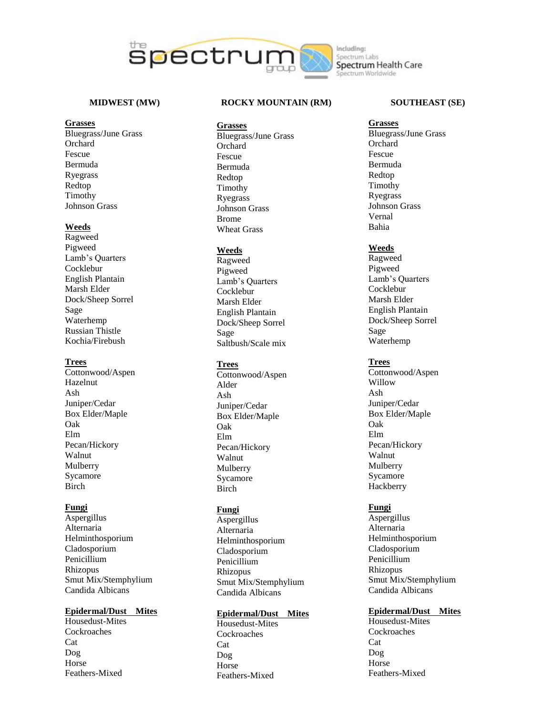

### **MIDWEST (MW)**

#### **Grasses**

Bluegrass/June Grass Orchard Fescue Bermuda Ryegrass Redtop Timothy Johnson Grass

## **Weeds**

Ragweed Pigweed Lamb's Quarters Cocklebur English Plantain Marsh Elder Dock/Sheep Sorrel Sage Waterhemp Russian Thistle Kochia/Firebush

### **Trees**

Cottonwood/Aspen Hazelnut Ash Juniper/Cedar Box Elder/Maple Oak Elm Pecan/Hickory Walnut Mulberry Sycamore Birch

### **Fungi**

Aspergillus Alternaria Helminthosporium Cladosporium Penicillium Rhizopus Smut Mix/Stemphylium Candida Albicans

# **Epidermal/Dust Mites**

Housedust -Mites Cockroaches Cat Dog Horse Feathers -Mixed

### **ROCKY MOUNTAIN (RM)**

- **Grasses**
- Bluegrass/June Grass **Orchard** Fescue Bermuda Redtop Timothy Ryegrass Johnson Grass Brome Wheat Grass

#### **Weeds**

Ragweed Pigweed Lamb's Quarters Cocklebur Marsh Elder English Plantain Dock/Sheep Sorrel Sage Saltbush/Scale mix

### **Trees**

Cottonwood/Aspen Alder Ash Juniper/Cedar Box Elder/Maple Oak Elm Pecan/Hickory Walnut Mulberry Sycamore **Birch** 

### **Fungi**

Aspergillus Alternaria Helminthosporium Cladosporium Penicillium Rhizopus Smut Mix/Stemphylium Candida Albicans

## **Epidermal/Dust Mites**

Housedust -Mites Cockroaches Cat Dog Horse Feathers -Mixed

### **SOUTHEAST (SE)**

**Grasses** Bluegrass/June Grass **Orchard** Fescue Bermuda Redtop Timothy Ryegrass Johnson Grass Vernal Bahia

#### **Weeds**

Ragweed Pigweed Lamb's Quarters Cocklebur Marsh Elder English Plantain Dock/Sheep Sorrel Sage Waterhemp

### **Trees**

Cottonwood/Aspen Willow Ash Juniper/Cedar Box Elder/Maple Oak Elm Pecan/Hickory Walnut Mulberry Sycamore **Hackberry** 

### **Fungi**

Aspergillus Alternaria Helminthosporium Cladosporium Penicillium Rhizopus Smut Mix/Stemphylium Candida Albicans

# **Epidermal/Dust Mites**